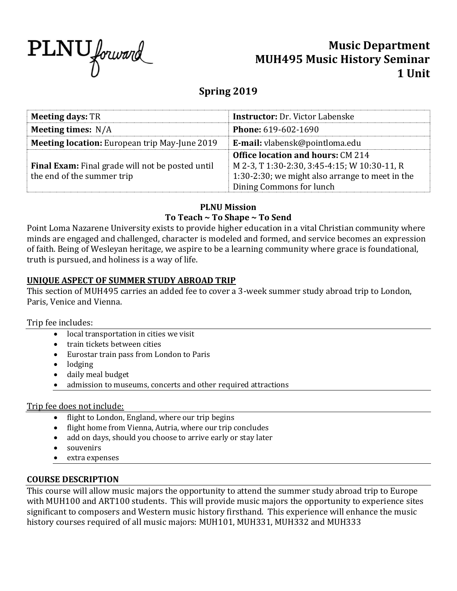

# **Music Department MUH495 Music History Seminar 1 Unit**

# **Spring 2019**

| <b>Meeting days: TR</b>                              | <b>Instructor: Dr. Victor Labenske</b>          |  |  |  |  |  |
|------------------------------------------------------|-------------------------------------------------|--|--|--|--|--|
| Meeting times: $N/A$                                 | <b>Phone: 619-602-1690</b>                      |  |  |  |  |  |
| <b>Meeting location:</b> European trip May-June 2019 | E-mail: vlabensk@pointloma.edu                  |  |  |  |  |  |
|                                                      | <b>Office location and hours: CM 214</b>        |  |  |  |  |  |
| Final Exam: Final grade will not be posted until     | M 2-3, T 1:30-2:30, 3:45-4:15; W 10:30-11, R    |  |  |  |  |  |
| the end of the summer trip                           | 1:30-2:30; we might also arrange to meet in the |  |  |  |  |  |
|                                                      | Dining Commons for lunch                        |  |  |  |  |  |

# **PLNU Mission**

# **To Teach ~ To Shape ~ To Send**

Point Loma Nazarene University exists to provide higher education in a vital Christian community where minds are engaged and challenged, character is modeled and formed, and service becomes an expression of faith. Being of Wesleyan heritage, we aspire to be a learning community where grace is foundational, truth is pursued, and holiness is a way of life.

# **UNIQUE ASPECT OF SUMMER STUDY ABROAD TRIP**

This section of MUH495 carries an added fee to cover a 3-week summer study abroad trip to London, Paris, Venice and Vienna.

#### Trip fee includes:

- local transportation in cities we visit
- train tickets between cities
- Eurostar train pass from London to Paris
- lodging
- daily meal budget
- admission to museums, concerts and other required attractions

#### Trip fee does not include:

- flight to London, England, where our trip begins
- flight home from Vienna, Autria, where our trip concludes
- add on days, should you choose to arrive early or stay later
- souvenirs
- extra expenses

#### **COURSE DESCRIPTION**

This course will allow music majors the opportunity to attend the summer study abroad trip to Europe with MUH100 and ART100 students. This will provide music majors the opportunity to experience sites significant to composers and Western music history firsthand. This experience will enhance the music history courses required of all music majors: MUH101, MUH331, MUH332 and MUH333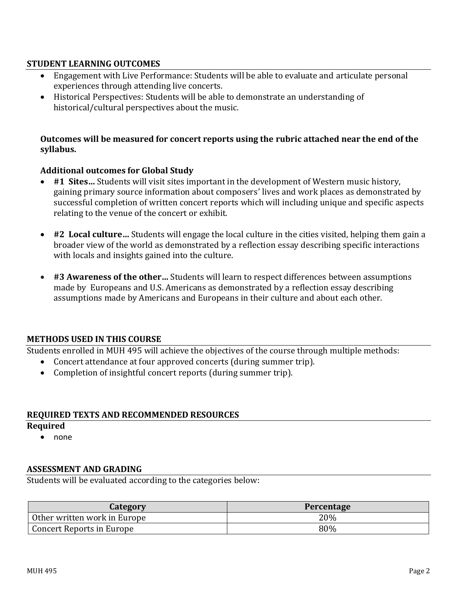### **STUDENT LEARNING OUTCOMES**

- Engagement with Live Performance: Students will be able to evaluate and articulate personal experiences through attending live concerts.
- Historical Perspectives: Students will be able to demonstrate an understanding of historical/cultural perspectives about the music.

#### **Outcomes will be measured for concert reports using the rubric attached near the end of the syllabus.**

#### **Additional outcomes for Global Study**

- **#1 Sites…** Students will visit sites important in the development of Western music history, gaining primary source information about composers' lives and work places as demonstrated by successful completion of written concert reports which will including unique and specific aspects relating to the venue of the concert or exhibit.
- **#2 Local culture…** Students will engage the local culture in the cities visited, helping them gain a broader view of the world as demonstrated by a reflection essay describing specific interactions with locals and insights gained into the culture.
- **#3 Awareness of the other…** Students will learn to respect differences between assumptions made by Europeans and U.S. Americans as demonstrated by a reflection essay describing assumptions made by Americans and Europeans in their culture and about each other.

#### **METHODS USED IN THIS COURSE**

Students enrolled in MUH 495 will achieve the objectives of the course through multiple methods:

- Concert attendance at four approved concerts (during summer trip).
- Completion of insightful concert reports (during summer trip).

#### **REQUIRED TEXTS AND RECOMMENDED RESOURCES**

#### **Required**

• none

#### **ASSESSMENT AND GRADING**

Students will be evaluated according to the categories below:

| Category                     | <b>Percentage</b> |  |  |  |  |  |
|------------------------------|-------------------|--|--|--|--|--|
| Other written work in Europe | 20%               |  |  |  |  |  |
| Concert Reports in Europe    | 80%               |  |  |  |  |  |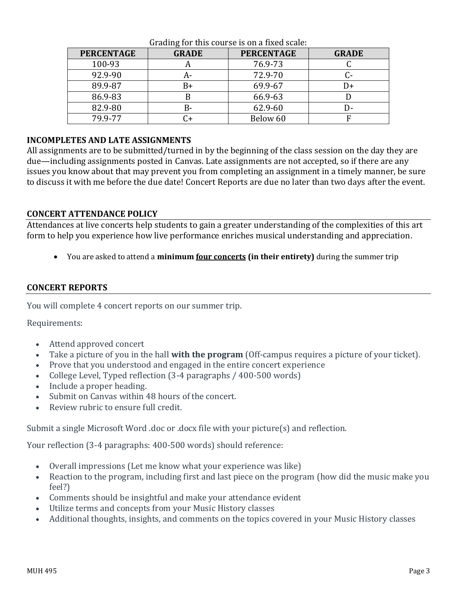| <b>PERCENTAGE</b> | <b>GRADE</b> | <b>PERCENTAGE</b> | <b>GRADE</b> |  |  |
|-------------------|--------------|-------------------|--------------|--|--|
| 100-93            | n            | 76.9-73           |              |  |  |
| 92.9-90           | А-           | 72.9-70           |              |  |  |
| 89.9-87           | B+           | 69.9-67           | I)+          |  |  |
| 86.9-83           |              | 66.9-63           |              |  |  |
| 82.9-80           | B-           | 62.9-60           | D-           |  |  |
| 79.9-77           |              | Below 60          |              |  |  |

#### Grading for this course is on a fixed scale:

#### **INCOMPLETES AND LATE ASSIGNMENTS**

All assignments are to be submitted/turned in by the beginning of the class session on the day they are due—including assignments posted in Canvas. Late assignments are not accepted, so if there are any issues you know about that may prevent you from completing an assignment in a timely manner, be sure to discuss it with me before the due date! Concert Reports are due no later than two days after the event.

#### **CONCERT ATTENDANCE POLICY**

Attendances at live concerts help students to gain a greater understanding of the complexities of this art form to help you experience how live performance enriches musical understanding and appreciation.

• You are asked to attend a **minimum four concerts (in their entirety)** during the summer trip

#### **CONCERT REPORTS**

You will complete 4 concert reports on our summer trip.

Requirements:

- Attend approved concert
- Take a picture of you in the hall **with the program** (Off-campus requires a picture of your ticket).
- Prove that you understood and engaged in the entire concert experience
- College Level, Typed reflection (3-4 paragraphs / 400-500 words)
- Include a proper heading.
- Submit on Canvas within 48 hours of the concert.
- Review rubric to ensure full credit.

Submit a single Microsoft Word .doc or .docx file with your picture(s) and reflection.

Your reflection (3-4 paragraphs: 400-500 words) should reference:

- Overall impressions (Let me know what your experience was like)
- Reaction to the program, including first and last piece on the program (how did the music make you feel?)
- Comments should be insightful and make your attendance evident
- Utilize terms and concepts from your Music History classes
- Additional thoughts, insights, and comments on the topics covered in your Music History classes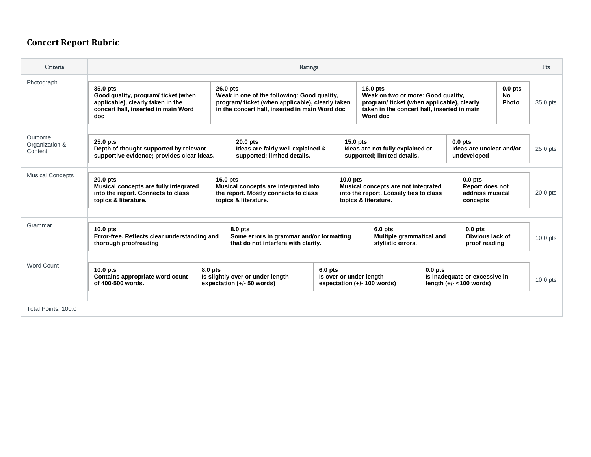# **Concert Report Rubric**

| Criteria                             | <b>Ratings</b>                                                                                                                    |                                                                                            |                                                                                                                                                                                                                                                                                                                          |           |                                                                               |                                                                                                                                                                                           | Pts                                           |                                                             |          |            |
|--------------------------------------|-----------------------------------------------------------------------------------------------------------------------------------|--------------------------------------------------------------------------------------------|--------------------------------------------------------------------------------------------------------------------------------------------------------------------------------------------------------------------------------------------------------------------------------------------------------------------------|-----------|-------------------------------------------------------------------------------|-------------------------------------------------------------------------------------------------------------------------------------------------------------------------------------------|-----------------------------------------------|-------------------------------------------------------------|----------|------------|
| Photograph                           | 35.0 pts<br>Good quality, program/ticket (when<br>applicable), clearly taken in the<br>concert hall, inserted in main Word<br>doc |                                                                                            | 26.0 pts<br>$16.0$ pts<br>Weak in one of the following: Good quality,<br>Weak on two or more: Good quality,<br>program/ticket (when applicable), clearly taken<br>program/ticket (when applicable), clearly<br>taken in the concert hall, inserted in main<br>in the concert hall, inserted in main Word doc<br>Word doc |           |                                                                               |                                                                                                                                                                                           | $0.0$ pts<br>No<br>Photo                      | 35.0 pts                                                    |          |            |
| Outcome<br>Organization &<br>Content | 25.0 pts<br>Depth of thought supported by relevant<br>supportive evidence; provides clear ideas.                                  | $20.0$ pts<br>Ideas are fairly well explained &<br>supported; limited details.             |                                                                                                                                                                                                                                                                                                                          |           | $15.0$ pts<br>Ideas are not fully explained or<br>supported; limited details. |                                                                                                                                                                                           |                                               | $0.0$ pts<br>Ideas are unclear and/or<br>undeveloped        |          | $25.0$ pts |
| <b>Musical Concepts</b>              | $20.0$ pts<br>Musical concepts are fully integrated<br>into the report. Connects to class<br>topics & literature.                 |                                                                                            | $16.0$ pts<br>Musical concepts are integrated into<br>the report. Mostly connects to class<br>topics & literature.                                                                                                                                                                                                       |           |                                                                               | $10.0$ pts<br>$0.0$ pts<br>Musical concepts are not integrated<br><b>Report does not</b><br>into the report. Loosely ties to class<br>address musical<br>topics & literature.<br>concepts |                                               |                                                             |          | $20.0$ pts |
| Grammar                              | $10.0$ pts<br>Error-free. Reflects clear understanding and<br>thorough proofreading                                               | 8.0 pts<br>Some errors in grammar and/or formatting<br>that do not interfere with clarity. |                                                                                                                                                                                                                                                                                                                          |           | $6.0$ pts<br>Multiple grammatical and<br>stylistic errors.                    |                                                                                                                                                                                           | $0.0$ pts<br>Obvious lack of<br>proof reading |                                                             | 10.0 pts |            |
| Word Count                           | $10.0$ pts<br>Contains appropriate word count<br>of 400-500 words.                                                                | 8.0 pts                                                                                    | Is slightly over or under length<br>expectation (+/- 50 words)                                                                                                                                                                                                                                                           | $6.0$ pts | Is over or under length<br>expectation (+/- 100 words)                        |                                                                                                                                                                                           | $0.0$ pts                                     | Is inadequate or excessive in<br>length $(+/- < 100$ words) |          | $10.0$ pts |
| Total Points: 100.0                  |                                                                                                                                   |                                                                                            |                                                                                                                                                                                                                                                                                                                          |           |                                                                               |                                                                                                                                                                                           |                                               |                                                             |          |            |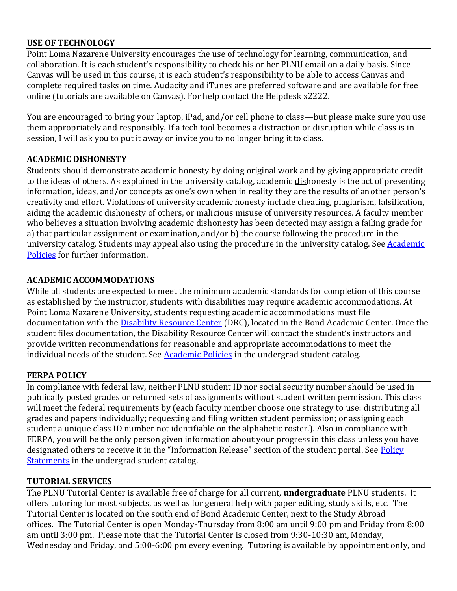### **USE OF TECHNOLOGY**

Point Loma Nazarene University encourages the use of technology for learning, communication, and collaboration. It is each student's responsibility to check his or her PLNU email on a daily basis. Since Canvas will be used in this course, it is each student's responsibility to be able to access Canvas and complete required tasks on time. Audacity and iTunes are preferred software and are available for free online (tutorials are available on Canvas). For help contact the Helpdesk x2222.

You are encouraged to bring your laptop, iPad, and/or cell phone to class—but please make sure you use them appropriately and responsibly. If a tech tool becomes a distraction or disruption while class is in session, I will ask you to put it away or invite you to no longer bring it to class.

#### **ACADEMIC DISHONESTY**

Students should demonstrate academic honesty by doing original work and by giving appropriate credit to the ideas of others. As explained in the university catalog, academic dishonesty is the act of presenting information, ideas, and/or concepts as one's own when in reality they are the results of another person's creativity and effort. Violations of university academic honesty include cheating, plagiarism, falsification, aiding the academic dishonesty of others, or malicious misuse of university resources. A faculty member who believes a situation involving academic dishonesty has been detected may assign a failing grade for a) that particular assignment or examination, and/or b) the course following the procedure in the university catalog. Students may appeal also using the procedure in the university catalog. See [Academic](http://www.pointloma.edu/experience/academics/catalogs/undergraduate-catalog/point-loma-education/academic-policies)  [Policies](http://www.pointloma.edu/experience/academics/catalogs/undergraduate-catalog/point-loma-education/academic-policies) for further information.

### **ACADEMIC ACCOMMODATIONS**

While all students are expected to meet the minimum academic standards for completion of this course as established by the instructor, students with disabilities may require academic accommodations. At Point Loma Nazarene University, students requesting academic accommodations must file documentation with the [Disability Resource Center](http://www.pointloma.edu/experience/offices/administrative-offices/academic-advising-office/disability-resource-center) (DRC), located in the Bond Academic Center. Once the student files documentation, the Disability Resource Center will contact the student's instructors and provide written recommendations for reasonable and appropriate accommodations to meet the individual needs of the student. See [Academic Policies](http://www.pointloma.edu/experience/academics/catalogs/undergraduate-catalog/point-loma-education/academic-policies) in the undergrad student catalog.

#### **FERPA POLICY**

In compliance with federal law, neither PLNU student ID nor social security number should be used in publically posted grades or returned sets of assignments without student written permission. This class will meet the federal requirements by (each faculty member choose one strategy to use: distributing all grades and papers individually; requesting and filing written student permission; or assigning each student a unique class ID number not identifiable on the alphabetic roster.). Also in compliance with FERPA, you will be the only person given information about your progress in this class unless you have designated others to receive it in the "Information Release" section of the student portal. See Policy [Statements](http://www.pointloma.edu/experience/academics/catalogs/undergraduate-catalog/policy-statements) in the undergrad student catalog.

#### **TUTORIAL SERVICES**

The PLNU Tutorial Center is available free of charge for all current, **undergraduate** PLNU students. It offers tutoring for most subjects, as well as for general help with paper editing, study skills, etc. The Tutorial Center is located on the south end of Bond Academic Center, next to the Study Abroad offices. The Tutorial Center is open Monday-Thursday from 8:00 am until 9:00 pm and Friday from 8:00 am until 3:00 pm. Please note that the Tutorial Center is closed from 9:30-10:30 am, Monday, Wednesday and Friday, and 5:00-6:00 pm every evening. Tutoring is available by appointment only, and